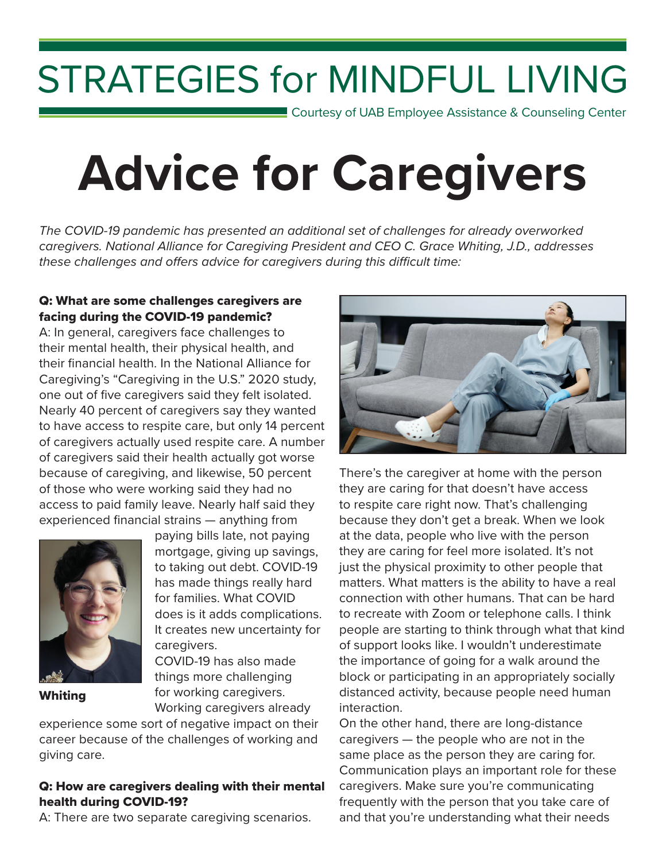# STRATEGIES for MINDFUL LIVING

**Courtesy of UAB Employee Assistance & Counseling Center** 

# **Advice for Caregivers**

*The COVID-19 pandemic has presented an additional set of challenges for already overworked caregivers. National Alliance for Caregiving President and CEO C. Grace Whiting, J.D., addresses these challenges and offers advice for caregivers during this difficult time:*

## Q: What are some challenges caregivers are facing during the COVID-19 pandemic?

A: In general, caregivers face challenges to their mental health, their physical health, and their financial health. In the National Alliance for Caregiving's "Caregiving in the U.S." 2020 study, one out of five caregivers said they felt isolated. Nearly 40 percent of caregivers say they wanted to have access to respite care, but only 14 percent of caregivers actually used respite care. A number of caregivers said their health actually got worse because of caregiving, and likewise, 50 percent of those who were working said they had no access to paid family leave. Nearly half said they experienced financial strains — anything from



Whiting

paying bills late, not paying mortgage, giving up savings, to taking out debt. COVID-19 has made things really hard for families. What COVID does is it adds complications. It creates new uncertainty for caregivers.

COVID-19 has also made things more challenging for working caregivers.

Working caregivers already

experience some sort of negative impact on their career because of the challenges of working and giving care.

#### Q: How are caregivers dealing with their mental health during COVID-19?

A: There are two separate caregiving scenarios.



There's the caregiver at home with the person they are caring for that doesn't have access to respite care right now. That's challenging because they don't get a break. When we look at the data, people who live with the person they are caring for feel more isolated. It's not just the physical proximity to other people that matters. What matters is the ability to have a real connection with other humans. That can be hard to recreate with Zoom or telephone calls. I think people are starting to think through what that kind of support looks like. I wouldn't underestimate the importance of going for a walk around the block or participating in an appropriately socially distanced activity, because people need human interaction.

On the other hand, there are long-distance caregivers — the people who are not in the same place as the person they are caring for. Communication plays an important role for these caregivers. Make sure you're communicating frequently with the person that you take care of and that you're understanding what their needs